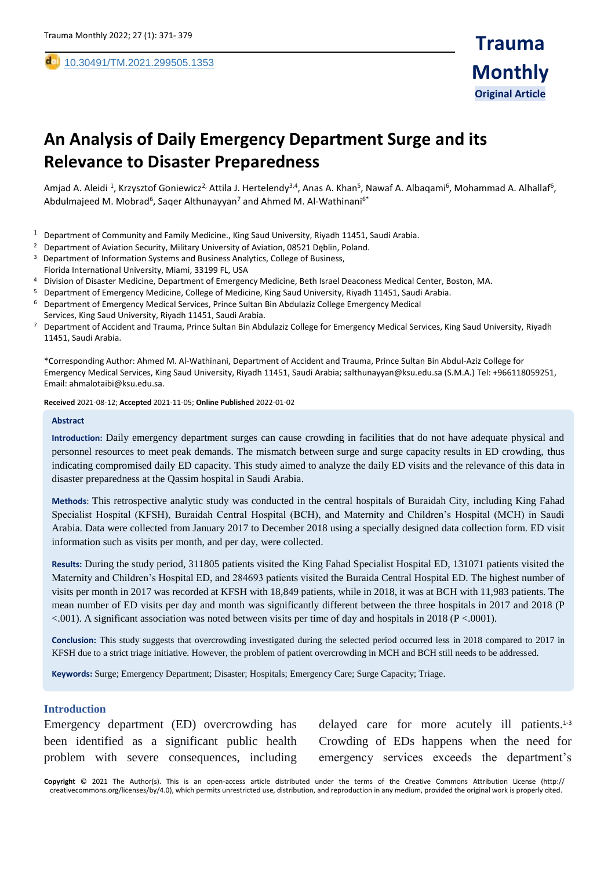,

# **An Analysis of Daily Emergency Department Surge and its Relevance to Disaster Preparedness**

Amjad A. Aleidi <sup>1</sup>, Krzysztof Goniewicz<sup>2,</sup> Attila J. Hertelendy<sup>3,4</sup>, Anas A. Khan<sup>5</sup>, Nawaf A. Albaqami<sup>6</sup>, Mohammad A. Alhallaf<sup>6</sup>, Abdulmajeed M. Mobrad<sup>6</sup>, Saqer Althunayyan<sup>7</sup> and Ahmed M. Al-Wathinani<sup>6\*</sup>

- $1$  Department of Community and Family Medicine., King Saud University, Riyadh 11451, Saudi Arabia.
- <sup>2</sup> Department of Aviation Security, Military University of Aviation, 08521 Dęblin, Poland.
- <sup>3</sup> Department of Information Systems and Business Analytics, College of Business, Florida International University, Miami, 33199 FL, USA
- <sup>4</sup> Division of Disaster Medicine, Department of Emergency Medicine, Beth Israel Deaconess Medical Center, Boston, MA.
- <sup>5</sup> Department of Emergency Medicine, College of Medicine, King Saud University, Riyadh 11451, Saudi Arabia.
- <sup>6</sup> Department of Emergency Medical Services, Prince Sultan Bin Abdulaziz College Emergency Medical
- Services, King Saud University, Riyadh 11451, Saudi Arabia.
- <sup>7</sup> Department of Accident and Trauma, Prince Sultan Bin Abdulaziz College for Emergency Medical Services, King Saud University, Riyadh 11451, Saudi Arabia.

\*Corresponding Author: Ahmed M. Al-Wathinani, Department of Accident and Trauma, Prince Sultan Bin Abdul-Aziz College for Emergency Medical Services, King Saud University, Riyadh 11451, Saudi Arabia; salthunayyan@ksu.edu.sa (S.M.A.) Tel: +966118059251, Email: ahmalotaibi@ksu.edu.sa.

**Received** 2021-08-12; **Accepted** 2021-11-05; **Online Published** 2022-01-02

#### **Abstract**

**Introduction:** Daily emergency department surges can cause crowding in facilities that do not have adequate physical and personnel resources to meet peak demands. The mismatch between surge and surge capacity results in ED crowding, thus indicating compromised daily ED capacity. This study aimed to analyze the daily ED visits and the relevance of this data in disaster preparedness at the Qassim hospital in Saudi Arabia.

**Methods**: This retrospective analytic study was conducted in the central hospitals of Buraidah City, including King Fahad Specialist Hospital (KFSH), Buraidah Central Hospital (BCH), and Maternity and Children's Hospital (MCH) in Saudi Arabia. Data were collected from January 2017 to December 2018 using a specially designed data collection form. ED visit information such as visits per month, and per day, were collected.

**Results:** During the study period, 311805 patients visited the King Fahad Specialist Hospital ED, 131071 patients visited the Maternity and Children's Hospital ED, and 284693 patients visited the Buraida Central Hospital ED. The highest number of visits per month in 2017 was recorded at KFSH with 18,849 patients, while in 2018, it was at BCH with 11,983 patients. The mean number of ED visits per day and month was significantly different between the three hospitals in 2017 and 2018 (P <.001). A significant association was noted between visits per time of day and hospitals in 2018 (P <.0001).

**Conclusion:** This study suggests that overcrowding investigated during the selected period occurred less in 2018 compared to 2017 in KFSH due to a strict triage initiative. However, the problem of patient overcrowding in MCH and BCH still needs to be addressed.

**Keywords:** Surge; Emergency Department; Disaster; Hospitals; Emergency Care; Surge Capacity; Triage.

#### **Introduction**

Emergency department (ED) overcrowding has been identified as a significant public health problem with severe consequences, including

delayed care for more acutely ill patients.<sup>1-3</sup> Crowding of EDs happens when the need for emergency services exceeds the department's

**Copyright** © 2021 The Author(s). This is an open-access article distributed under the terms of the Creative Commons Attribution License (http:// creativecommons.org/licenses/by/4.0), which permits unrestricted use, distribution, and reproduction in any medium, provided the original work is properly cited.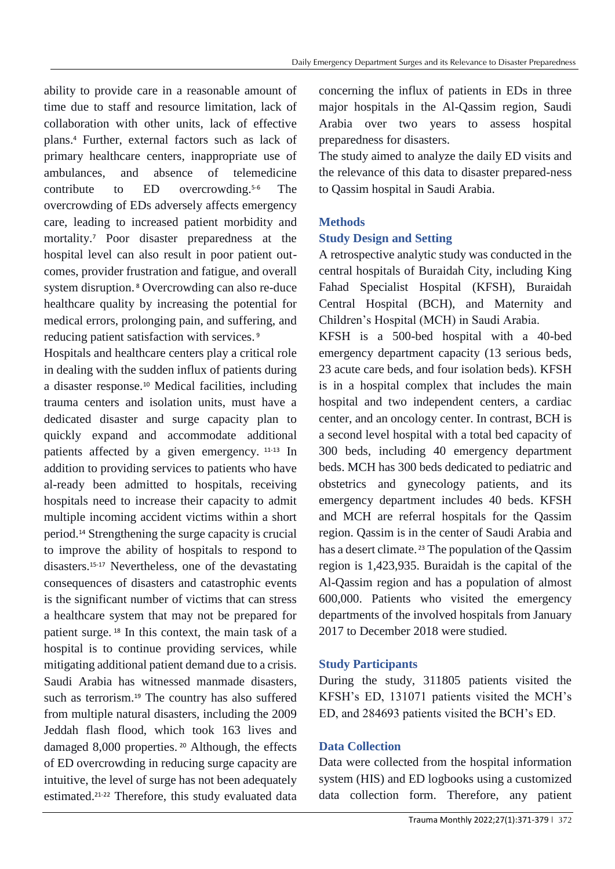ability to provide care in a reasonable amount of time due to staff and resource limitation, lack of collaboration with other units, lack of effective plans. <sup>4</sup> Further, external factors such as lack of primary healthcare centers, inappropriate use of ambulances, and absence of telemedicine contribute to ED overcrowding. The overcrowding of EDs adversely affects emergency care, leading to increased patient morbidity and mortality.<sup>7</sup> Poor disaster preparedness at the hospital level can also result in poor patient outcomes, provider frustration and fatigue, and overall system disruption. <sup>8</sup> Overcrowding can also re-duce healthcare quality by increasing the potential for medical errors, prolonging pain, and suffering, and reducing patient satisfaction with services. <sup>9</sup>

Hospitals and healthcare centers play a critical role in dealing with the sudden influx of patients during a disaster response.<sup>10</sup> Medical facilities, including trauma centers and isolation units, must have a dedicated disaster and surge capacity plan to quickly expand and accommodate additional patients affected by a given emergency. 11-13 In addition to providing services to patients who have al-ready been admitted to hospitals, receiving hospitals need to increase their capacity to admit multiple incoming accident victims within a short period.<sup>14</sup> Strengthening the surge capacity is crucial to improve the ability of hospitals to respond to disasters.15-17 Nevertheless, one of the devastating consequences of disasters and catastrophic events is the significant number of victims that can stress a healthcare system that may not be prepared for patient surge. <sup>18</sup> In this context, the main task of a hospital is to continue providing services, while mitigating additional patient demand due to a crisis. Saudi Arabia has witnessed manmade disasters, such as terrorism.<sup>19</sup> The country has also suffered from multiple natural disasters, including the 2009 Jeddah flash flood, which took 163 lives and damaged 8,000 properties. <sup>20</sup> Although, the effects of ED overcrowding in reducing surge capacity are intuitive, the level of surge has not been adequately estimated.21-22 Therefore, this study evaluated data

concerning the influx of patients in EDs in three major hospitals in the Al-Qassim region, Saudi Arabia over two years to assess hospital preparedness for disasters.

The study aimed to analyze the daily ED visits and the relevance of this data to disaster prepared-ness to Qassim hospital in Saudi Arabia.

# **Methods**

# **Study Design and Setting**

A retrospective analytic study was conducted in the central hospitals of Buraidah City, including King Fahad Specialist Hospital (KFSH), Buraidah Central Hospital (BCH), and Maternity and Children's Hospital (MCH) in Saudi Arabia.

KFSH is a 500-bed hospital with a 40-bed emergency department capacity (13 serious beds, 23 acute care beds, and four isolation beds). KFSH is in a hospital complex that includes the main hospital and two independent centers, a cardiac center, and an oncology center. In contrast, BCH is a second level hospital with a total bed capacity of 300 beds, including 40 emergency department beds. MCH has 300 beds dedicated to pediatric and obstetrics and gynecology patients, and its emergency department includes 40 beds. KFSH and MCH are referral hospitals for the Qassim region. Qassim is in the center of Saudi Arabia and has a desert climate. <sup>23</sup> The population of the Qassim region is 1,423,935. Buraidah is the capital of the Al-Qassim region and has a population of almost 600,000. Patients who visited the emergency departments of the involved hospitals from January 2017 to December 2018 were studied.

## **Study Participants**

During the study, 311805 patients visited the KFSH's ED, 131071 patients visited the MCH's ED, and 284693 patients visited the BCH's ED.

## **Data Collection**

Data were collected from the hospital information system (HIS) and ED logbooks using a customized data collection form. Therefore, any patient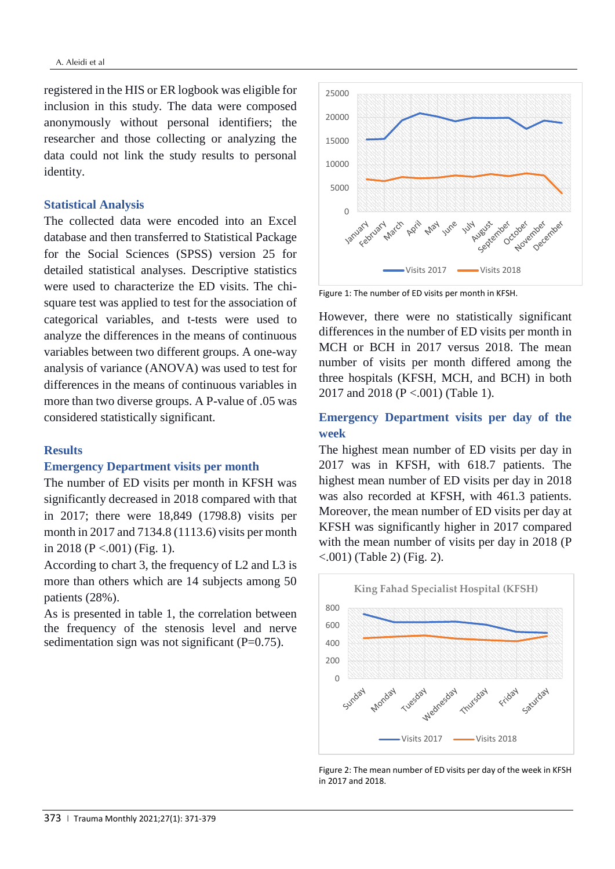registered in the HIS or ER logbook was eligible for inclusion in this study. The data were composed anonymously without personal identifiers; the researcher and those collecting or analyzing the data could not link the study results to personal identity.

#### **Statistical Analysis**

The collected data were encoded into an Excel database and then transferred to Statistical Package for the Social Sciences (SPSS) version 25 for detailed statistical analyses. Descriptive statistics were used to characterize the ED visits. The chisquare test was applied to test for the association of categorical variables, and t-tests were used to analyze the differences in the means of continuous variables between two different groups. A one-way analysis of variance (ANOVA) was used to test for differences in the means of continuous variables in more than two diverse groups. A P-value of .05 was considered statistically significant.

## **Results**

## **Emergency Department visits per month**

The number of ED visits per month in KFSH was significantly decreased in 2018 compared with that in 2017; there were 18,849 (1798.8) visits per month in 2017 and 7134.8 (1113.6) visits per month in 2018 (P <.001) (Fig. 1).

According to chart 3, the frequency of L2 and L3 is more than others which are 14 subjects among 50 patients (28%).

As is presented in table 1, the correlation between the frequency of the stenosis level and nerve sedimentation sign was not significant  $(P=0.75)$ .



Figure 1: The number of ED visits per month in KFSH.

However, there were no statistically significant differences in the number of ED visits per month in MCH or BCH in 2017 versus 2018. The mean number of visits per month differed among the three hospitals (KFSH, MCH, and BCH) in both 2017 and 2018 (P <.001) (Table 1).

## **Emergency Department visits per day of the week**

The highest mean number of ED visits per day in 2017 was in KFSH, with 618.7 patients. The highest mean number of ED visits per day in 2018 was also recorded at KFSH, with 461.3 patients. Moreover, the mean number of ED visits per day at KFSH was significantly higher in 2017 compared with the mean number of visits per day in 2018 (P  $\leq$ .001) (Table 2) (Fig. 2).



Figure 2: The mean number of ED visits per day of the week in KFSH in 2017 and 2018.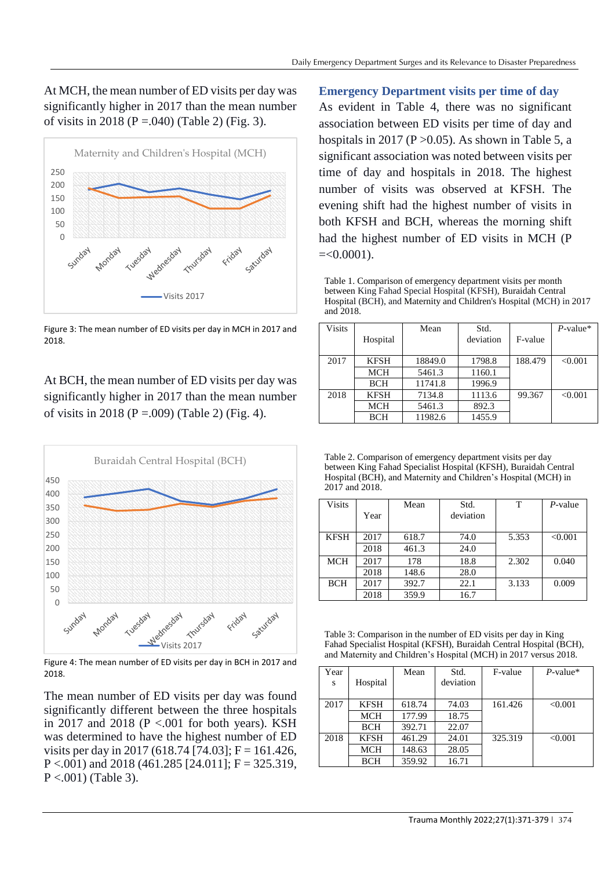At MCH, the mean number of ED visits per day was significantly higher in 2017 than the mean number of visits in 2018 (P = 0.040) (Table 2) (Fig. 3).



Figure 3: The mean number of ED visits per day in MCH in 2017 and 2018.

At BCH, the mean number of ED visits per day was significantly higher in 2017 than the mean number of visits in 2018 (P = 009) (Table 2) (Fig. 4).



Figure 4: The mean number of ED visits per day in BCH in 2017 and 2018.

The mean number of ED visits per day was found significantly different between the three hospitals in 2017 and 2018 (P <.001 for both years). KSH was determined to have the highest number of ED visits per day in 2017 (618.74 [74.03];  $F = 161.426$ ,  $P < .001$ ) and 2018 (461.285 [24.011];  $F = 325.319$ ,  $P < .001$ ) (Table 3).

**Emergency Department visits per time of day**

As evident in Table 4, there was no significant association between ED visits per time of day and hospitals in 2017 (P  $>0.05$ ). As shown in Table 5, a significant association was noted between visits per time of day and hospitals in 2018. The highest number of visits was observed at KFSH. The evening shift had the highest number of visits in both KFSH and BCH, whereas the morning shift had the highest number of ED visits in MCH (P  $=<0.0001$ ).

Table 1. Comparison of emergency department visits per month between King Fahad Special Hospital (KFSH), Buraidah Central Hospital (BCH), and Maternity and Children's Hospital (MCH) in 2017 and 2018.

| <b>Visits</b> | Hospital    | Mean    | Std.<br>deviation | F-value | $P$ -value* |
|---------------|-------------|---------|-------------------|---------|-------------|
| 2017          | <b>KFSH</b> | 18849.0 | 1798.8            | 188.479 | < 0.001     |
|               | <b>MCH</b>  | 5461.3  | 1160.1            |         |             |
|               | <b>BCH</b>  | 11741.8 | 1996.9            |         |             |
| 2018          | <b>KFSH</b> | 7134.8  | 1113.6            | 99.367  | < 0.001     |
|               | <b>MCH</b>  | 5461.3  | 892.3             |         |             |
|               | <b>BCH</b>  | 11982.6 | 1455.9            |         |             |

Table 2. Comparison of emergency department visits per day between King Fahad Specialist Hospital (KFSH), Buraidah Central Hospital (BCH), and Maternity and Children's Hospital (MCH) in 2017 and 2018.

| <b>Visits</b> |      | Mean  | Std.      | т     | $P$ -value |
|---------------|------|-------|-----------|-------|------------|
|               | Year |       | deviation |       |            |
| <b>KFSH</b>   | 2017 | 618.7 | 74.0      | 5.353 | < 0.001    |
|               | 2018 | 461.3 | 24.0      |       |            |
| <b>MCH</b>    | 2017 | 178   | 18.8      | 2.302 | 0.040      |
|               | 2018 | 148.6 | 28.0      |       |            |
| <b>BCH</b>    | 2017 | 392.7 | 22.1      | 3.133 | 0.009      |
|               | 2018 | 359.9 | 16.7      |       |            |

Table 3: Comparison in the number of ED visits per day in King Fahad Specialist Hospital (KFSH), Buraidah Central Hospital (BCH), and Maternity and Children's Hospital (MCH) in 2017 versus 2018.

| Year<br>S | Hospital    | Mean   | Std.<br>deviation | F-value | $P$ -value* |
|-----------|-------------|--------|-------------------|---------|-------------|
| 2017      | <b>KFSH</b> | 618.74 | 74.03             | 161.426 | < 0.001     |
|           | <b>MCH</b>  | 177.99 | 18.75             |         |             |
|           | <b>BCH</b>  | 392.71 | 22.07             |         |             |
| 2018      | <b>KFSH</b> | 461.29 | 24.01             | 325.319 | < 0.001     |
|           | <b>MCH</b>  | 148.63 | 28.05             |         |             |
|           | <b>BCH</b>  | 359.92 | 16.71             |         |             |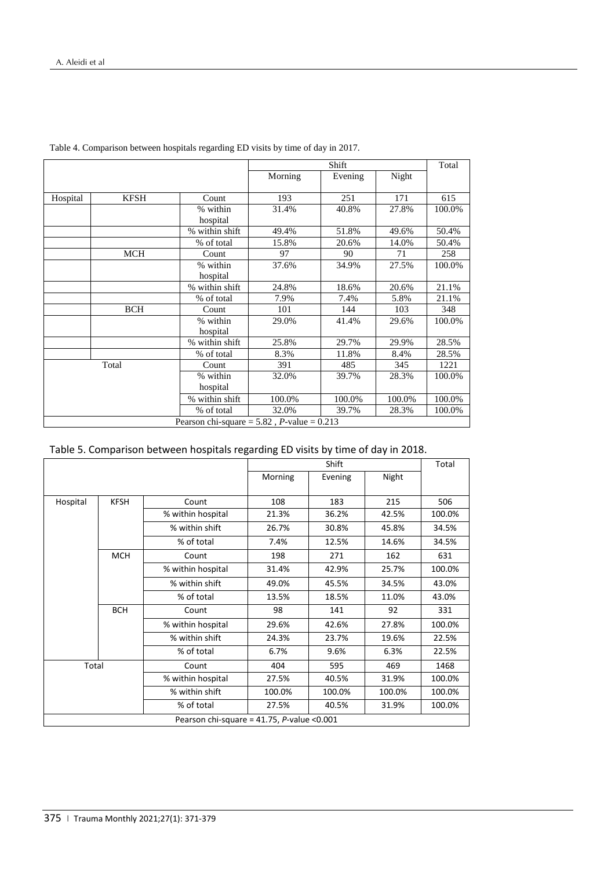|          |             |                                                       | Shift   |         |        | Total  |
|----------|-------------|-------------------------------------------------------|---------|---------|--------|--------|
|          |             |                                                       | Morning | Evening | Night  |        |
|          |             |                                                       |         |         |        |        |
| Hospital | <b>KFSH</b> | Count                                                 | 193     | 251     | 171    | 615    |
|          |             | % within                                              | 31.4%   | 40.8%   | 27.8%  | 100.0% |
|          |             | hospital                                              |         |         |        |        |
|          |             | % within shift                                        | 49.4%   | 51.8%   | 49.6%  | 50.4%  |
|          |             | % of total                                            | 15.8%   | 20.6%   | 14.0%  | 50.4%  |
|          | <b>MCH</b>  | Count                                                 | 97      | 90      | 71     | 258    |
|          |             | % within                                              | 37.6%   | 34.9%   | 27.5%  | 100.0% |
|          |             | hospital                                              |         |         |        |        |
|          |             | % within shift                                        | 24.8%   | 18.6%   | 20.6%  | 21.1%  |
|          |             | % of total                                            | 7.9%    | 7.4%    | 5.8%   | 21.1%  |
|          | <b>BCH</b>  | Count                                                 | 101     | 144     | 103    | 348    |
|          |             | % within                                              | 29.0%   | 41.4%   | 29.6%  | 100.0% |
|          |             | hospital                                              |         |         |        |        |
|          |             | % within shift                                        | 25.8%   | 29.7%   | 29.9%  | 28.5%  |
|          |             | % of total                                            | 8.3%    | 11.8%   | 8.4%   | 28.5%  |
|          | Total       | Count                                                 | 391     | 485     | 345    | 1221   |
|          |             | % within                                              | 32.0%   | 39.7%   | 28.3%  | 100.0% |
|          |             | hospital                                              |         |         |        |        |
|          |             | % within shift                                        | 100.0%  | 100.0%  | 100.0% | 100.0% |
|          |             | % of total                                            | 32.0%   | 39.7%   | 28.3%  | 100.0% |
|          |             | Pearson chi-square = $5.82$ , <i>P</i> -value = 0.213 |         |         |        |        |

Table 4. Comparison between hospitals regarding ED visits by time of day in 2017.

| Table 5. Comparison between hospitals regarding ED visits by time of day in 2018. |  |  |  |  |  |
|-----------------------------------------------------------------------------------|--|--|--|--|--|
|-----------------------------------------------------------------------------------|--|--|--|--|--|

|          |             |                                                | Shift   |         |        | Total  |
|----------|-------------|------------------------------------------------|---------|---------|--------|--------|
|          |             |                                                | Morning | Evening | Night  |        |
| Hospital | <b>KFSH</b> | Count                                          | 108     | 183     | 215    | 506    |
|          |             | % within hospital                              | 21.3%   | 36.2%   | 42.5%  | 100.0% |
|          |             | % within shift                                 | 26.7%   | 30.8%   | 45.8%  | 34.5%  |
|          |             | % of total                                     | 7.4%    | 12.5%   | 14.6%  | 34.5%  |
|          | <b>MCH</b>  | Count                                          | 198     | 271     | 162    | 631    |
|          |             | % within hospital                              | 31.4%   | 42.9%   | 25.7%  | 100.0% |
|          |             | % within shift                                 | 49.0%   | 45.5%   | 34.5%  | 43.0%  |
|          |             | % of total                                     | 13.5%   | 18.5%   | 11.0%  | 43.0%  |
|          | <b>BCH</b>  | Count                                          | 98      | 141     | 92     | 331    |
|          |             | % within hospital                              | 29.6%   | 42.6%   | 27.8%  | 100.0% |
|          |             | % within shift                                 | 24.3%   | 23.7%   | 19.6%  | 22.5%  |
|          |             | % of total                                     | 6.7%    | 9.6%    | 6.3%   | 22.5%  |
| Total    |             | Count                                          | 404     | 595     | 469    | 1468   |
|          |             | % within hospital                              | 27.5%   | 40.5%   | 31.9%  | 100.0% |
|          |             | % within shift                                 | 100.0%  | 100.0%  | 100.0% | 100.0% |
|          |             | % of total                                     | 27.5%   | 40.5%   | 31.9%  | 100.0% |
|          |             | Pearson chi-square = $41.75$ , P-value < 0.001 |         |         |        |        |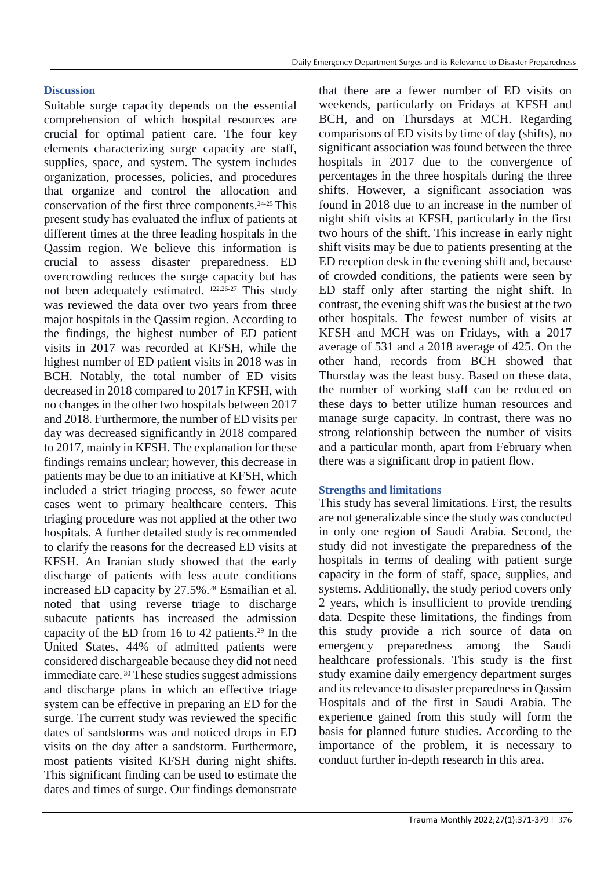## **Discussion**

Suitable surge capacity depends on the essential comprehension of which hospital resources are crucial for optimal patient care. The four key elements characterizing surge capacity are staff, supplies, space, and system. The system includes organization, processes, policies, and procedures that organize and control the allocation and conservation of the first three components. 24-25 This present study has evaluated the influx of patients at different times at the three leading hospitals in the Qassim region. We believe this information is crucial to assess disaster preparedness. ED overcrowding reduces the surge capacity but has not been adequately estimated. 122,26-27 This study was reviewed the data over two years from three major hospitals in the Qassim region. According to the findings, the highest number of ED patient visits in 2017 was recorded at KFSH, while the highest number of ED patient visits in 2018 was in BCH. Notably, the total number of ED visits decreased in 2018 compared to 2017 in KFSH, with no changes in the other two hospitals between 2017 and 2018. Furthermore, the number of ED visits per day was decreased significantly in 2018 compared to 2017, mainly in KFSH. The explanation for these findings remains unclear; however, this decrease in patients may be due to an initiative at KFSH, which included a strict triaging process, so fewer acute cases went to primary healthcare centers. This triaging procedure was not applied at the other two hospitals. A further detailed study is recommended to clarify the reasons for the decreased ED visits at KFSH. An Iranian study showed that the early discharge of patients with less acute conditions increased ED capacity by 27.5%.<sup>28</sup> Esmailian et al. noted that using reverse triage to discharge subacute patients has increased the admission capacity of the ED from 16 to 42 patients. <sup>29</sup> In the United States, 44% of admitted patients were considered dischargeable because they did not need immediate care. <sup>30</sup> These studies suggest admissions and discharge plans in which an effective triage system can be effective in preparing an ED for the surge. The current study was reviewed the specific dates of sandstorms was and noticed drops in ED visits on the day after a sandstorm. Furthermore, most patients visited KFSH during night shifts. This significant finding can be used to estimate the dates and times of surge. Our findings demonstrate

that there are a fewer number of ED visits on weekends, particularly on Fridays at KFSH and BCH, and on Thursdays at MCH. Regarding comparisons of ED visits by time of day (shifts), no significant association was found between the three hospitals in 2017 due to the convergence of percentages in the three hospitals during the three shifts. However, a significant association was found in 2018 due to an increase in the number of night shift visits at KFSH, particularly in the first two hours of the shift. This increase in early night shift visits may be due to patients presenting at the ED reception desk in the evening shift and, because of crowded conditions, the patients were seen by ED staff only after starting the night shift. In contrast, the evening shift was the busiest at the two other hospitals. The fewest number of visits at KFSH and MCH was on Fridays, with a 2017 average of 531 and a 2018 average of 425. On the other hand, records from BCH showed that Thursday was the least busy. Based on these data, the number of working staff can be reduced on these days to better utilize human resources and manage surge capacity. In contrast, there was no strong relationship between the number of visits and a particular month, apart from February when there was a significant drop in patient flow.

## **Strengths and limitations**

This study has several limitations. First, the results are not generalizable since the study was conducted in only one region of Saudi Arabia. Second, the study did not investigate the preparedness of the hospitals in terms of dealing with patient surge capacity in the form of staff, space, supplies, and systems. Additionally, the study period covers only 2 years, which is insufficient to provide trending data. Despite these limitations, the findings from this study provide a rich source of data on emergency preparedness among the Saudi healthcare professionals. This study is the first study examine daily emergency department surges and its relevance to disaster preparedness in Qassim Hospitals and of the first in Saudi Arabia. The experience gained from this study will form the basis for planned future studies. According to the importance of the problem, it is necessary to conduct further in-depth research in this area.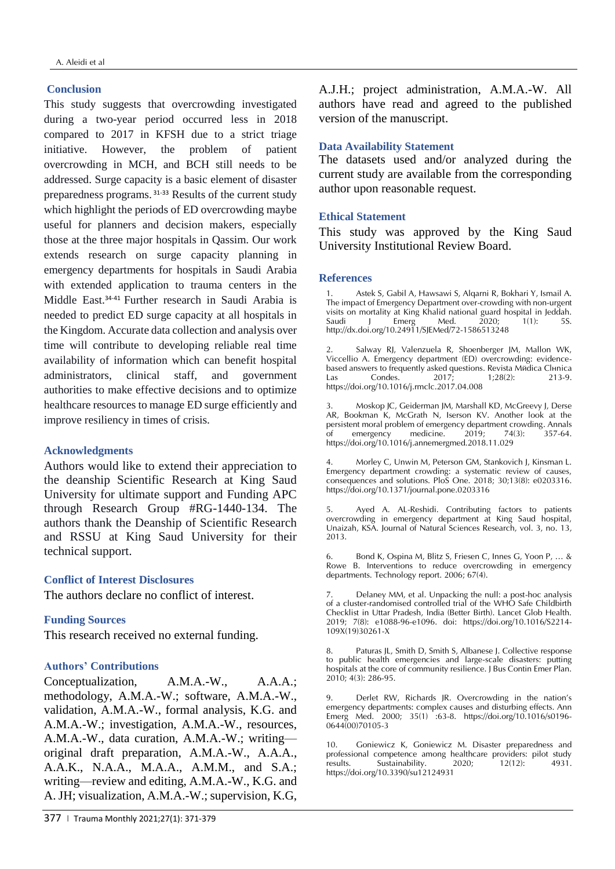#### **Conclusion**

This study suggests that overcrowding investigated during a two-year period occurred less in 2018 compared to 2017 in KFSH due to a strict triage initiative. However, the problem of patient overcrowding in MCH, and BCH still needs to be addressed. Surge capacity is a basic element of disaster preparedness programs. 31-33 Results of the current study which highlight the periods of ED overcrowding maybe useful for planners and decision makers, especially those at the three major hospitals in Qassim. Our work extends research on surge capacity planning in emergency departments for hospitals in Saudi Arabia with extended application to trauma centers in the Middle East. 34-41 Further research in Saudi Arabia is needed to predict ED surge capacity at all hospitals in the Kingdom. Accurate data collection and analysis over time will contribute to developing reliable real time availability of information which can benefit hospital administrators, clinical staff, and government authorities to make effective decisions and to optimize healthcare resources to manage ED surge efficiently and improve resiliency in times of crisis.

## **Acknowledgments**

Authors would like to extend their appreciation to the deanship Scientific Research at King Saud University for ultimate support and Funding APC through Research Group #RG-1440-134. The authors thank the Deanship of Scientific Research and RSSU at King Saud University for their technical support.

#### **Conflict of Interest Disclosures**

The authors declare no conflict of interest.

#### **Funding Sources**

This research received no external funding.

## **Authors' Contributions**

Conceptualization, A.M.A.-W., A.A.A.; methodology, A.M.A.-W.; software, A.M.A.-W., validation, A.M.A.-W., formal analysis, K.G. and A.M.A.-W.; investigation, A.M.A.-W., resources, A.M.A.-W., data curation, A.M.A.-W.; writing original draft preparation, A.M.A.-W., A.A.A., A.A.K., N.A.A., M.A.A., A.M.M., and S.A.; writing—review and editing, A.M.A.-W., K.G. and A. JH; visualization, A.M.A.-W.; supervision, K.G,

A.J.H.; project administration, A.M.A.-W. All authors have read and agreed to the published version of the manuscript.

#### **Data Availability Statement**

The datasets used and/or analyzed during the current study are available from the corresponding author upon reasonable request.

#### **Ethical Statement**

This study was approved by the King Saud University Institutional Review Board.

#### **References**

1. Astek S, Gabil A, Hawsawi S, Alqarni R, Bokhari Y, Ismail A. The impact of Emergency Department over-crowding with non-urgent visits on mortality at King Khalid national guard hospital in Jeddah. Saudi J Emerg Med. 2020; 1(1): 5S. http://dx.doi.org/10.24911/SJEMed/72-1586513248

Salway RJ, Valenzuela R, Shoenberger JM, Mallon WK, Viccellio A. Emergency department (ED) overcrowding: evidencebased answers to frequently asked questions. Revista Mñdica Clunica<br>Las Condes. 2017; 1;28(2): 213-9. Las Condes. 2017; 1;28(2): 213-9. https://doi.org/10.1016/j.rmclc.2017.04.008

3. Moskop JC, Geiderman JM, Marshall KD, McGreevy J, Derse AR, Bookman K, McGrath N, Iserson KV. Another look at the persistent moral problem of emergency department crowding. Annals<br>of emergency medicine. 2019; 74(3): 357-64. of emergency https://doi.org/10.1016/j.annemergmed.2018.11.029

4. Morley C, Unwin M, Peterson GM, Stankovich J, Kinsman L. Emergency department crowding: a systematic review of causes, consequences and solutions. PloS One. 2018; 30;13(8): e0203316. https://doi.org/10.1371/journal.pone.0203316

Ayed A. AL-Reshidi. Contributing factors to patients overcrowding in emergency department at King Saud hospital, Unaizah, KSA. Journal of Natural Sciences Research, vol. 3, no. 13, 2013.

6. Bond K, Ospina M, Blitz S, Friesen C, Innes G, Yoon P, … & Rowe B. Interventions to reduce overcrowding in emergency departments. Technology report. 2006; 67(4).

Delaney MM, et al. Unpacking the null: a post-hoc analysis of a cluster-randomised controlled trial of the WHO Safe Childbirth Checklist in Uttar Pradesh, India (Better Birth). Lancet Glob Health. 2019; 7(8): e1088-96-e1096. doi: https://doi.org/10.1016/S2214- 109X(19)30261-X

8. Paturas JL, Smith D, Smith S, Albanese J. Collective response to public health emergencies and large-scale disasters: putting hospitals at the core of community resilience. J Bus Contin Emer Plan. 2010; 4(3): 286-95.

9. Derlet RW, Richards JR. Overcrowding in the nation's emergency departments: complex causes and disturbing effects. Ann Emerg Med. 2000; 35(1) :63-8. https://doi.org/10.1016/s0196- 0644(00)70105-3

10. Goniewicz K, Goniewicz M. Disaster preparedness and professional competence among healthcare providers: pilot study results. Sustainability. 2020; 12(12): 4931. https://doi.org/10.3390/su12124931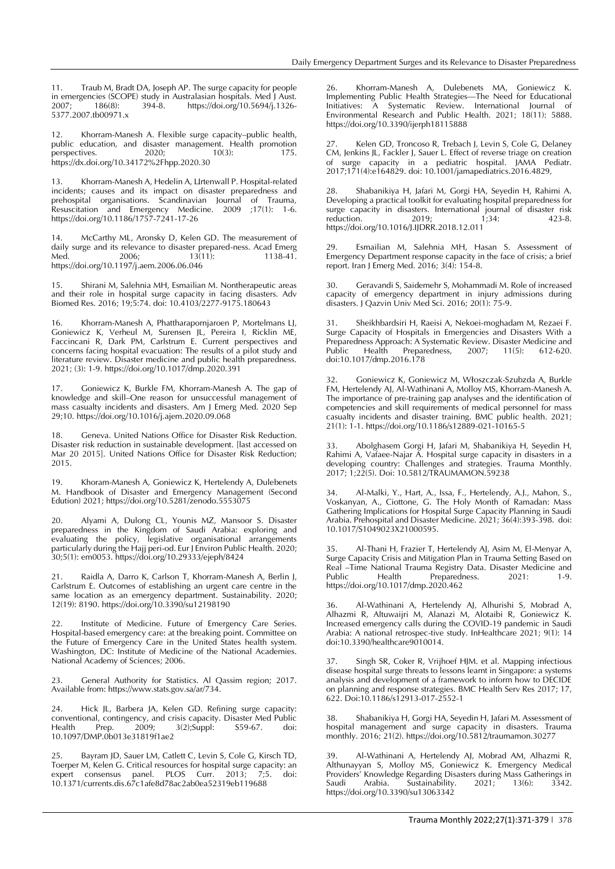11. Traub M, Bradt DA, Joseph AP. The surge capacity for people in emergencies (SCOPE) study in Australasian hospitals. Med J Aust.<br>2007; 186(8): 394-8. https://doi.org/10.5694/j.1326https://doi.org/10.5694/j.1326-5377.2007.tb00971.x

12. Khorram-Manesh A. Flexible surge capacity–public health, public education, and disaster management. Health promotion perspectives. 2020; 10(3): 175. perspectives. https://dx.doi.org/10.34172%2Fhpp.2020.30

Khorram-Manesh A, Hedelin A, Lirtenwall P. Hospital-related incidents; causes and its impact on disaster preparedness and prehospital organisations. Scandinavian Journal of Trauma, Resuscitation and Emergency Medicine. 2009 ;17(1): 1-6. https://doi.org/10.1186/1757-7241-17-26

14. McCarthy ML, Aronsky D, Kelen GD. The measurement of daily surge and its relevance to disaster prepared-ness. Acad Emerg<br>Med. 2006; 13(11): 1138-41. Med. 2006; 13(11): 1138-41. https://doi.org/10.1197/j.aem.2006.06.046

15. Shirani M, Salehnia MH, Esmailian M. Nontherapeutic areas and their role in hospital surge capacity in facing disasters. Adv Biomed Res. 2016; 19;5:74. doi: 10.4103/2277-9175.180643

16. Khorram-Manesh A, Phattharapornjaroen P, Mortelmans LJ, Goniewicz K, Verheul M, Surensen JL, Pereira I, Ricklin ME, Faccincani R, Dark PM, Carlstrum E. Current perspectives and concerns facing hospital evacuation: The results of a pilot study and literature review. Disaster medicine and public health preparedness. 2021; (3): 1-9. https://doi.org/10.1017/dmp.2020.391

17. Goniewicz K, Burkle FM, Khorram-Manesh A. The gap of knowledge and skill–One reason for unsuccessful management of mass casualty incidents and disasters. Am J Emerg Med. 2020 Sep 29;10. https://doi.org/10.1016/j.ajem.2020.09.068

18. Geneva. United Nations Office for Disaster Risk Reduction. Disaster risk reduction in sustainable development. [last accessed on Mar 20 2015]. United Nations Office for Disaster Risk Reduction; 2015.

19. Khoram-Manesh A, Goniewicz K, Hertelendy A, Dulebenets M. Handbook of Disaster and Emergency Management (Second Edution) 2021; https://doi.org/10.5281/zenodo.5553075

20. Alyami A, Dulong CL, Younis MZ, Mansoor S. Disaster preparedness in the Kingdom of Saudi Arabia: exploring and evaluating the policy, legislative organisational arrangements particularly during the Hajj peri-od. Eur J Environ Public Health. 2020; 30;5(1): em0053. https://doi.org/10.29333/ejeph/8424

Raidla A, Darro K, Carlson T, Khorram-Manesh A, Berlin J, Carlström E. Outcomes of establishing an urgent care centre in the same location as an emergency department. Sustainability. 2020; 12(19): 8190. https://doi.org/10.3390/su12198190

22. Institute of Medicine. Future of Emergency Care Series. Hospital-based emergency care: at the breaking point. Committee on the Future of Emergency Care in the United States health system. Washington, DC: Institute of Medicine of the National Academies. National Academy of Sciences; 2006.

23. General Authority for Statistics. Al Qassim region; 2017. Available from: https://www.stats.gov.sa/ar/734.

24. Hick JL, Barbera JA, Kelen GD. Refining surge capacity: conventional, contingency, and crisis capacity. Disaster Med Public<br>Health Prep. 2009; 3(2);Suppl: S59-67. doi: Health Prep. 2009; 3(2);Suppl: S59-67. doi: 10.1097/DMP.0b013e31819f1ae2

25. Bayram JD, Sauer LM, Catlett C, Levin S, Cole G, Kirsch TD, Toerper M, Kelen G. Critical resources for hospital surge capacity: an expert consensus panel. PLOS Curr. 2013; 7;5. doi: 10.1371/currents.dis.67c1afe8d78ac2ab0ea52319eb119688

26. Khorram-Manesh A, Dulebenets MA, Goniewicz K. Implementing Public Health Strategies—The Need for Educational Initiatives: A Systematic Review. International Journal of Environmental Research and Public Health. 2021; 18(11): 5888. https://doi.org/10.3390/ijerph18115888

Kelen GD, Troncoso R, Trebach J, Levin S, Cole G, Delaney CM, Jenkins JL, Fackler J, Sauer L. Effect of reverse triage on creation of surge capacity in a pediatric hospital. JAMA Pediatr. 2017;171(4):e164829. doi: 10.1001/jamapediatrics.2016.4829,

28. Shabanikiya H, Jafari M, Gorgi HA, Seyedin H, Rahimi A. Developing a practical toolkit for evaluating hospital preparedness for surge capacity in disasters. International journal of disaster risk reduction. 2019; 1;34: 423-8. https://doi.org/10.1016/J.IJDRR.2018.12.011

29. Esmailian M, Salehnia MH, Hasan S. Assessment of Emergency Department response capacity in the face of crisis; a brief report. Iran J Emerg Med. 2016; 3(4): 154-8.

30. Geravandi S, Saidemehr S, Mohammadi M. Role of increased capacity of emergency department in injury admissions during disasters. J Qazvin Univ Med Sci. 2016; 20(1): 75-9.

31. Sheikhbardsiri H, Raeisi A, Nekoei-moghadam M, Rezaei F. Surge Capacity of Hospitals in Emergencies and Disasters With a Preparedness Approach: A Systematic Review. Disaster Medicine and<br>Public Health Preparedness, 2007; 11(5): 612-620. Public Health Preparedness, doi:10.1017/dmp.2016.178

32. Goniewicz K, Goniewicz M, Włoszczak-Szubzda A, Burkle FM, Hertelendy AJ, Al-Wathinani A, Molloy MS, Khorram-Manesh A. The importance of pre-training gap analyses and the identification of competencies and skill requirements of medical personnel for mass casualty incidents and disaster training. BMC public health. 2021; 21(1): 1-1. https://doi.org/10.1186/s12889-021-10165-5

33. Abolghasem Gorgi H, Jafari M, Shabanikiya H, Seyedin H, Rahimi A, Vafaee-Najar A. Hospital surge capacity in disasters in a developing country: Challenges and strategies. Trauma Monthly. 2017; 1;22(5). Doi: 10.5812/TRAUMAMON.59238

34. Al-Malki, Y., Hart, A., Issa, F., Hertelendy, A.J., Mahon, S., Voskanyan, A., Ciottone, G. The Holy Month of Ramadan: Mass Gathering Implications for Hospital Surge Capacity Planning in Saudi Arabia. Prehospital and Disaster Medicine. 2021; 36(4):393-398. doi: 10.1017/S1049023X21000595.

35. Al-Thani H, Frazier T, Hertelendy AJ, Asim M, El-Menyar A, Surge Capacity Crisis and Mitigation Plan in Trauma Setting Based on Real –Time National Trauma Registry Data. Disaster Medicine and Preparedness. https://doi.org/10.1017/dmp.2020.462

36. Al-Wathinani A, Hertelendy AJ, Alhurishi S, Mobrad A, Alhazmi R, Altuwaijri M, Alanazi M, Alotaibi R, Goniewicz K. Increased emergency calls during the COVID-19 pandemic in Saudi Arabia: A national retrospec-tive study. InHealthcare 2021; 9(1): 14 doi:10.3390/healthcare9010014.

37. Singh SR, Coker R, Vrijhoef HJM. et al. Mapping infectious disease hospital surge threats to lessons learnt in Singapore: a systems analysis and development of a framework to inform how to DECIDE on planning and response strategies. BMC Health Serv Res 2017; 17, 622. Doi:10.1186/s12913-017-2552-1

38. Shabanikiya H, Gorgi HA, Seyedin H, Jafari M. Assessment of hospital management and surge capacity in disasters. Trauma monthly. 2016; 21(2). https://doi.org/10.5812/traumamon.30277

39. Al-Wathinani A, Hertelendy AJ, Mobrad AM, Alhazmi R, Althunayyan S, Molloy MS, Goniewicz K. Emergency Medical Providers' Knowledge Regarding Disasters during Mass Gatherings in Saudi Arabia. Sustainability. 2021; 13(6): 3342. https://doi.org/10.3390/su13063342